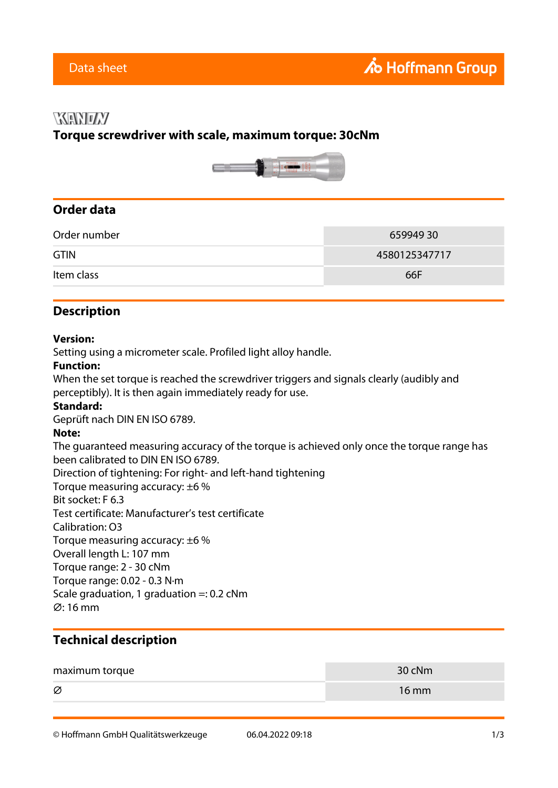# *XENTLY*

## **Torque screwdriver with scale, maximum torque: 30cNm**



# **Order data**

| Order number | 659949 30     |
|--------------|---------------|
| <b>GTIN</b>  | 4580125347717 |
| Item class   | 66F           |

### **Description**

#### **Version:**

Setting using a micrometer scale. Profiled light alloy handle.

#### **Function:**

When the set torque is reached the screwdriver triggers and signals clearly (audibly and perceptibly). It is then again immediately ready for use.

#### **Standard:**

Geprüft nach DIN EN ISO 6789.

#### **Note:**

The guaranteed measuring accuracy of the torque is achieved only once the torque range has been calibrated to DIN EN ISO 6789.

Direction of tightening: For right- and left-hand tightening

Torque measuring accuracy: ±6 %

Bit socket: F 6.3

Test certificate: Manufacturer's test certificate

Calibration: O3

Torque measuring accuracy: ±6 %

Overall length L: 107 mm

Torque range: 2 - 30 cNm

Torque range: 0.02 - 0.3 N·m

Scale graduation, 1 graduation =: 0.2 cNm

⌀: 16 mm

# **Technical description**

| maximum torque | 30 cNm          |
|----------------|-----------------|
| Ø              | $16 \text{ mm}$ |